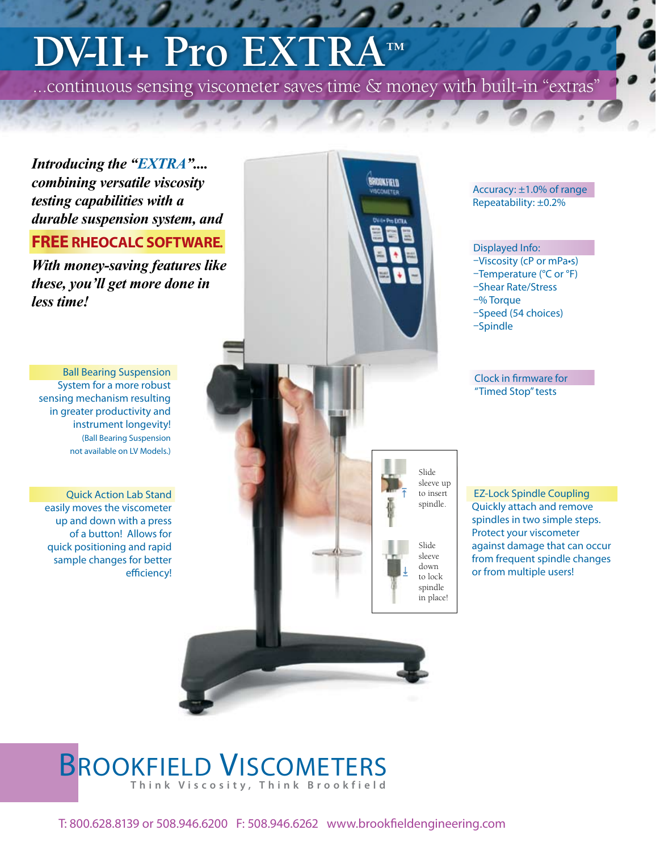# **DV-II+ Pro EXTRA™**

...continuous sensing viscometer saves time & money with built-in "extras"

*Introducing the "EXTRA".... combining versatile viscosity testing capabilities with a durable suspension system, and* 

### **FREE RHEOCALC SOFTWARE***.*

*With money-saving features like these, you'll get more done in less time!*

Ball Bearing Suspension System for a more robust sensing mechanism resulting in greater productivity and instrument longevity! (Ball Bearing Suspension not available on LV Models.)

Quick Action Lab Stand easily moves the viscometer up and down with a press of a button! Allows for quick positioning and rapid sample changes for better efficiency!



Accuracy: ±1.0% of range Repeatability: ±0.2%

#### Displayed Info:

–Viscosity (cP or mPa•s) –Temperature (°C or °F) –Shear Rate/Stress –% Torque –Speed (54 choices) –Spindle

Clock in firmware for "Timed Stop" tests

EZ-Lock Spindle Coupling Quickly attach and remove spindles in two simple steps. Protect your viscometer against damage that can occur from frequent spindle changes or from multiple users!

### BROOKFIELD VISCOMETERS **T h i n k V i s c o s i t y , T h i n k B r o o k f i e l d**